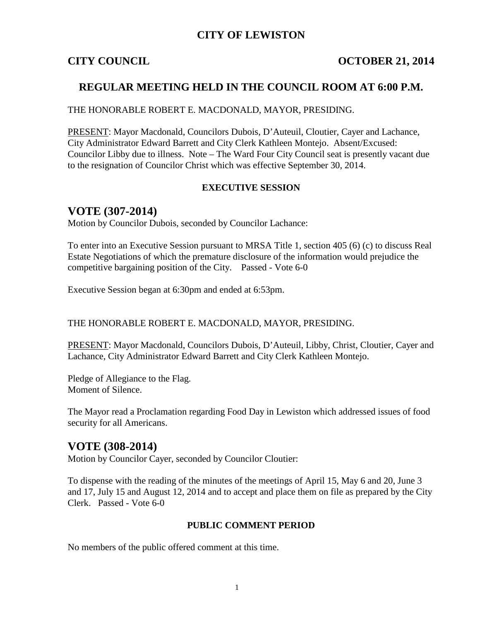## **CITY OF LEWISTON**

## **CITY COUNCIL COUNCIL COUNCIL COUNCIL COUNCIL COUNCIL**

## **REGULAR MEETING HELD IN THE COUNCIL ROOM AT 6:00 P.M.**

#### THE HONORABLE ROBERT E. MACDONALD, MAYOR, PRESIDING.

PRESENT: Mayor Macdonald, Councilors Dubois, D'Auteuil, Cloutier, Cayer and Lachance, City Administrator Edward Barrett and City Clerk Kathleen Montejo. Absent/Excused: Councilor Libby due to illness. Note – The Ward Four City Council seat is presently vacant due to the resignation of Councilor Christ which was effective September 30, 2014.

#### **EXECUTIVE SESSION**

## **VOTE (307-2014)**

Motion by Councilor Dubois, seconded by Councilor Lachance:

To enter into an Executive Session pursuant to MRSA Title 1, section 405 (6) (c) to discuss Real Estate Negotiations of which the premature disclosure of the information would prejudice the competitive bargaining position of the City. Passed - Vote 6-0

Executive Session began at 6:30pm and ended at 6:53pm.

THE HONORABLE ROBERT E. MACDONALD, MAYOR, PRESIDING.

PRESENT: Mayor Macdonald, Councilors Dubois, D'Auteuil, Libby, Christ, Cloutier, Cayer and Lachance, City Administrator Edward Barrett and City Clerk Kathleen Montejo.

Pledge of Allegiance to the Flag. Moment of Silence.

The Mayor read a Proclamation regarding Food Day in Lewiston which addressed issues of food security for all Americans.

## **VOTE (308-2014)**

Motion by Councilor Cayer, seconded by Councilor Cloutier:

To dispense with the reading of the minutes of the meetings of April 15, May 6 and 20, June 3 and 17, July 15 and August 12, 2014 and to accept and place them on file as prepared by the City Clerk. Passed - Vote 6-0

#### **PUBLIC COMMENT PERIOD**

No members of the public offered comment at this time.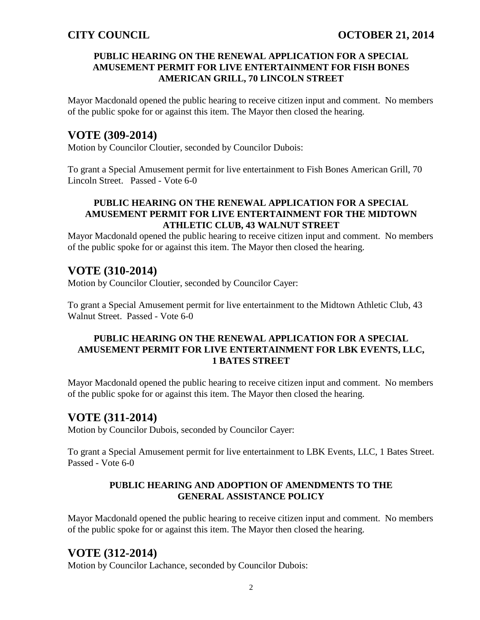### **PUBLIC HEARING ON THE RENEWAL APPLICATION FOR A SPECIAL AMUSEMENT PERMIT FOR LIVE ENTERTAINMENT FOR FISH BONES AMERICAN GRILL, 70 LINCOLN STREET**

Mayor Macdonald opened the public hearing to receive citizen input and comment. No members of the public spoke for or against this item. The Mayor then closed the hearing.

# **VOTE (309-2014)**

Motion by Councilor Cloutier, seconded by Councilor Dubois:

To grant a Special Amusement permit for live entertainment to Fish Bones American Grill, 70 Lincoln Street. Passed - Vote 6-0

### **PUBLIC HEARING ON THE RENEWAL APPLICATION FOR A SPECIAL AMUSEMENT PERMIT FOR LIVE ENTERTAINMENT FOR THE MIDTOWN ATHLETIC CLUB, 43 WALNUT STREET**

Mayor Macdonald opened the public hearing to receive citizen input and comment. No members of the public spoke for or against this item. The Mayor then closed the hearing.

# **VOTE (310-2014)**

Motion by Councilor Cloutier, seconded by Councilor Cayer:

To grant a Special Amusement permit for live entertainment to the Midtown Athletic Club, 43 Walnut Street. Passed - Vote 6-0

## **PUBLIC HEARING ON THE RENEWAL APPLICATION FOR A SPECIAL AMUSEMENT PERMIT FOR LIVE ENTERTAINMENT FOR LBK EVENTS, LLC, 1 BATES STREET**

Mayor Macdonald opened the public hearing to receive citizen input and comment. No members of the public spoke for or against this item. The Mayor then closed the hearing.

## **VOTE (311-2014)**

Motion by Councilor Dubois, seconded by Councilor Cayer:

To grant a Special Amusement permit for live entertainment to LBK Events, LLC, 1 Bates Street. Passed - Vote 6-0

### **PUBLIC HEARING AND ADOPTION OF AMENDMENTS TO THE GENERAL ASSISTANCE POLICY**

Mayor Macdonald opened the public hearing to receive citizen input and comment. No members of the public spoke for or against this item. The Mayor then closed the hearing.

## **VOTE (312-2014)**

Motion by Councilor Lachance, seconded by Councilor Dubois: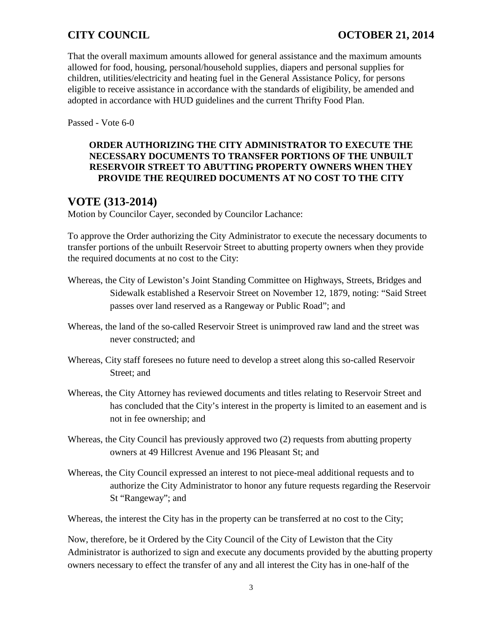That the overall maximum amounts allowed for general assistance and the maximum amounts allowed for food, housing, personal/household supplies, diapers and personal supplies for children, utilities/electricity and heating fuel in the General Assistance Policy, for persons eligible to receive assistance in accordance with the standards of eligibility, be amended and adopted in accordance with HUD guidelines and the current Thrifty Food Plan.

Passed - Vote 6-0

## **ORDER AUTHORIZING THE CITY ADMINISTRATOR TO EXECUTE THE NECESSARY DOCUMENTS TO TRANSFER PORTIONS OF THE UNBUILT RESERVOIR STREET TO ABUTTING PROPERTY OWNERS WHEN THEY PROVIDE THE REQUIRED DOCUMENTS AT NO COST TO THE CITY**

# **VOTE (313-2014)**

Motion by Councilor Cayer, seconded by Councilor Lachance:

To approve the Order authorizing the City Administrator to execute the necessary documents to transfer portions of the unbuilt Reservoir Street to abutting property owners when they provide the required documents at no cost to the City:

- Whereas, the City of Lewiston's Joint Standing Committee on Highways, Streets, Bridges and Sidewalk established a Reservoir Street on November 12, 1879, noting: "Said Street passes over land reserved as a Rangeway or Public Road"; and
- Whereas, the land of the so-called Reservoir Street is unimproved raw land and the street was never constructed; and
- Whereas, City staff foresees no future need to develop a street along this so-called Reservoir Street; and
- Whereas, the City Attorney has reviewed documents and titles relating to Reservoir Street and has concluded that the City's interest in the property is limited to an easement and is not in fee ownership; and
- Whereas, the City Council has previously approved two (2) requests from abutting property owners at 49 Hillcrest Avenue and 196 Pleasant St; and
- Whereas, the City Council expressed an interest to not piece-meal additional requests and to authorize the City Administrator to honor any future requests regarding the Reservoir St "Rangeway"; and

Whereas, the interest the City has in the property can be transferred at no cost to the City;

Now, therefore, be it Ordered by the City Council of the City of Lewiston that the City Administrator is authorized to sign and execute any documents provided by the abutting property owners necessary to effect the transfer of any and all interest the City has in one-half of the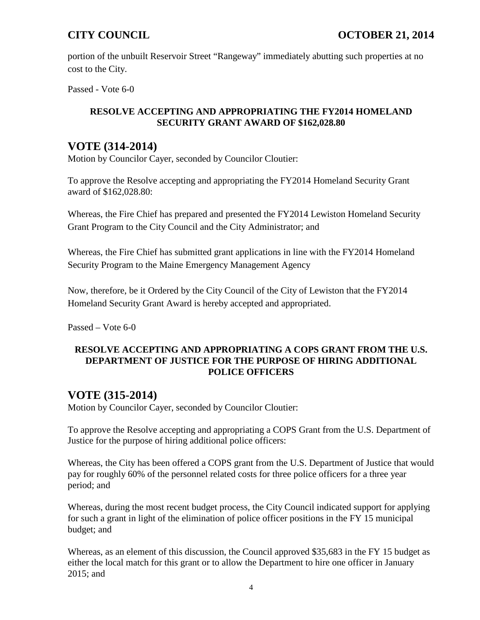portion of the unbuilt Reservoir Street "Rangeway" immediately abutting such properties at no cost to the City.

Passed - Vote 6-0

## **RESOLVE ACCEPTING AND APPROPRIATING THE FY2014 HOMELAND SECURITY GRANT AWARD OF \$162,028.80**

# **VOTE (314-2014)**

Motion by Councilor Cayer, seconded by Councilor Cloutier:

To approve the Resolve accepting and appropriating the FY2014 Homeland Security Grant award of \$162,028.80:

Whereas, the Fire Chief has prepared and presented the FY2014 Lewiston Homeland Security Grant Program to the City Council and the City Administrator; and

Whereas, the Fire Chief has submitted grant applications in line with the FY2014 Homeland Security Program to the Maine Emergency Management Agency

Now, therefore, be it Ordered by the City Council of the City of Lewiston that the FY2014 Homeland Security Grant Award is hereby accepted and appropriated.

Passed – Vote 6-0

## **RESOLVE ACCEPTING AND APPROPRIATING A COPS GRANT FROM THE U.S. DEPARTMENT OF JUSTICE FOR THE PURPOSE OF HIRING ADDITIONAL POLICE OFFICERS**

# **VOTE (315-2014)**

Motion by Councilor Cayer, seconded by Councilor Cloutier:

To approve the Resolve accepting and appropriating a COPS Grant from the U.S. Department of Justice for the purpose of hiring additional police officers:

Whereas, the City has been offered a COPS grant from the U.S. Department of Justice that would pay for roughly 60% of the personnel related costs for three police officers for a three year period; and

Whereas, during the most recent budget process, the City Council indicated support for applying for such a grant in light of the elimination of police officer positions in the FY 15 municipal budget; and

Whereas, as an element of this discussion, the Council approved \$35,683 in the FY 15 budget as either the local match for this grant or to allow the Department to hire one officer in January 2015; and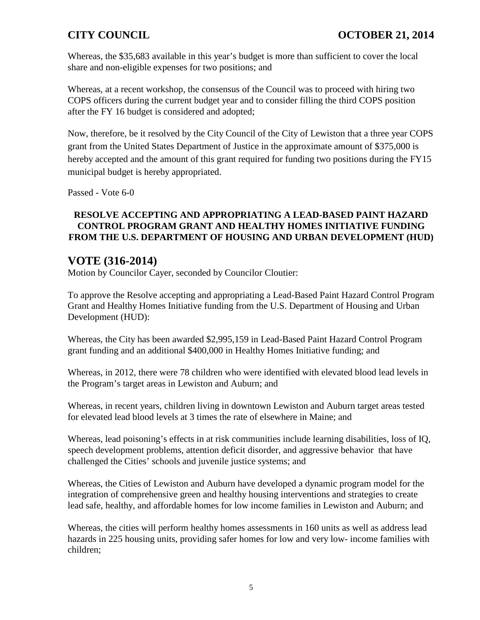Whereas, the \$35,683 available in this year's budget is more than sufficient to cover the local share and non-eligible expenses for two positions; and

Whereas, at a recent workshop, the consensus of the Council was to proceed with hiring two COPS officers during the current budget year and to consider filling the third COPS position after the FY 16 budget is considered and adopted;

Now, therefore, be it resolved by the City Council of the City of Lewiston that a three year COPS grant from the United States Department of Justice in the approximate amount of \$375,000 is hereby accepted and the amount of this grant required for funding two positions during the FY15 municipal budget is hereby appropriated.

Passed - Vote 6-0

## **RESOLVE ACCEPTING AND APPROPRIATING A LEAD-BASED PAINT HAZARD CONTROL PROGRAM GRANT AND HEALTHY HOMES INITIATIVE FUNDING FROM THE U.S. DEPARTMENT OF HOUSING AND URBAN DEVELOPMENT (HUD)**

# **VOTE (316-2014)**

Motion by Councilor Cayer, seconded by Councilor Cloutier:

To approve the Resolve accepting and appropriating a Lead-Based Paint Hazard Control Program Grant and Healthy Homes Initiative funding from the U.S. Department of Housing and Urban Development (HUD):

Whereas, the City has been awarded \$2,995,159 in Lead-Based Paint Hazard Control Program grant funding and an additional \$400,000 in Healthy Homes Initiative funding; and

Whereas, in 2012, there were 78 children who were identified with elevated blood lead levels in the Program's target areas in Lewiston and Auburn; and

Whereas, in recent years, children living in downtown Lewiston and Auburn target areas tested for elevated lead blood levels at 3 times the rate of elsewhere in Maine; and

Whereas, lead poisoning's effects in at risk communities include learning disabilities, loss of IQ, speech development problems, attention deficit disorder, and aggressive behavior that have challenged the Cities' schools and juvenile justice systems; and

Whereas, the Cities of Lewiston and Auburn have developed a dynamic program model for the integration of comprehensive green and healthy housing interventions and strategies to create lead safe, healthy, and affordable homes for low income families in Lewiston and Auburn; and

Whereas, the cities will perform healthy homes assessments in 160 units as well as address lead hazards in 225 housing units, providing safer homes for low and very low- income families with children;